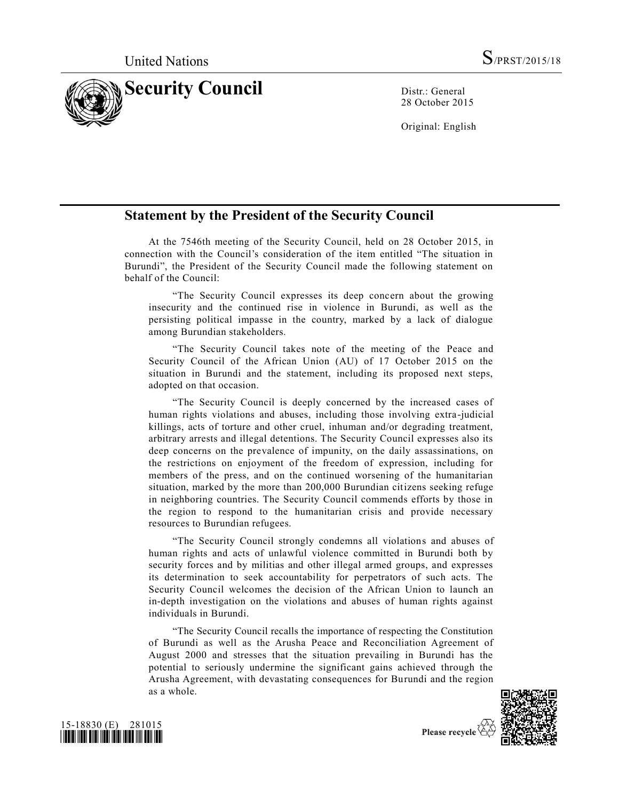

28 October 2015

Original: English

## **Statement by the President of the Security Council**

At the 7546th meeting of the Security Council, held on 28 October 2015, in connection with the Council's consideration of the item entitled "The situation in Burundi", the President of the Security Council made the following statement on behalf of the Council:

"The Security Council expresses its deep concern about the growing insecurity and the continued rise in violence in Burundi, as well as the persisting political impasse in the country, marked by a lack of dialogue among Burundian stakeholders.

"The Security Council takes note of the meeting of the Peace and Security Council of the African Union (AU) of 17 October 2015 on the situation in Burundi and the statement, including its proposed next steps, adopted on that occasion.

"The Security Council is deeply concerned by the increased cases of human rights violations and abuses, including those involving extra-judicial killings, acts of torture and other cruel, inhuman and/or degrading treatment, arbitrary arrests and illegal detentions. The Security Council expresses also its deep concerns on the prevalence of impunity, on the daily assassinations, on the restrictions on enjoyment of the freedom of expression, including for members of the press, and on the continued worsening of the humanitarian situation, marked by the more than 200,000 Burundian citizens seeking refuge in neighboring countries. The Security Council commends efforts by those in the region to respond to the humanitarian crisis and provide necessary resources to Burundian refugees.

"The Security Council strongly condemns all violations and abuses of human rights and acts of unlawful violence committed in Burundi both by security forces and by militias and other illegal armed groups, and expresses its determination to seek accountability for perpetrators of such acts. The Security Council welcomes the decision of the African Union to launch an in-depth investigation on the violations and abuses of human rights against individuals in Burundi.

"The Security Council recalls the importance of respecting the Constitution of Burundi as well as the Arusha Peace and Reconciliation Agreement of August 2000 and stresses that the situation prevailing in Burundi has the potential to seriously undermine the significant gains achieved through the Arusha Agreement, with devastating consequences for Burundi and the region as a whole.